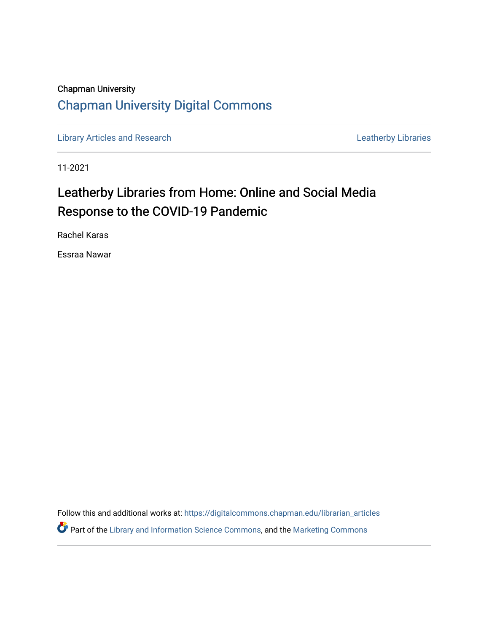## Chapman University [Chapman University Digital Commons](https://digitalcommons.chapman.edu/)

[Library Articles and Research](https://digitalcommons.chapman.edu/librarian_articles) **Libraries** Leatherby Libraries

11-2021

# Leatherby Libraries from Home: Online and Social Media Response to the COVID-19 Pandemic

Rachel Karas

Essraa Nawar

Follow this and additional works at: [https://digitalcommons.chapman.edu/librarian\\_articles](https://digitalcommons.chapman.edu/librarian_articles?utm_source=digitalcommons.chapman.edu%2Flibrarian_articles%2F31&utm_medium=PDF&utm_campaign=PDFCoverPages)  Part of the [Library and Information Science Commons,](http://network.bepress.com/hgg/discipline/1018?utm_source=digitalcommons.chapman.edu%2Flibrarian_articles%2F31&utm_medium=PDF&utm_campaign=PDFCoverPages) and the [Marketing Commons](http://network.bepress.com/hgg/discipline/638?utm_source=digitalcommons.chapman.edu%2Flibrarian_articles%2F31&utm_medium=PDF&utm_campaign=PDFCoverPages)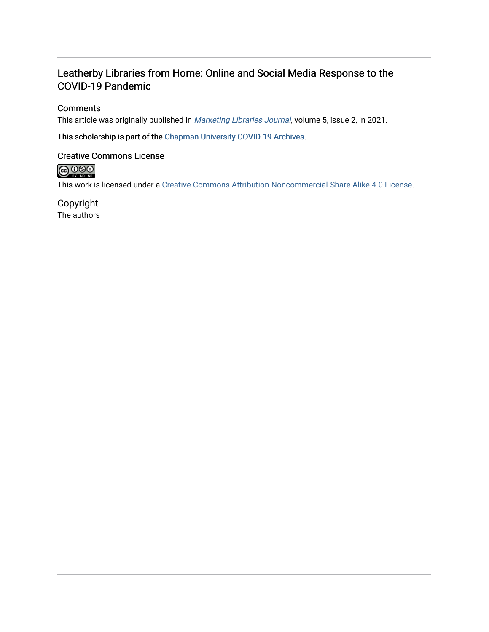### Leatherby Libraries from Home: Online and Social Media Response to the COVID-19 Pandemic

#### **Comments**

This article was originally published in [Marketing Libraries Journal](https://journal.marketinglibraries.org/11_MLJv5i2/), volume 5, issue 2, in 2021.

This scholarship is part of the [Chapman University COVID-19 Archives](https://digitalcommons.chapman.edu/covid-19_archives/).

#### Creative Commons License

 $\bigcirc$  0.00

This work is licensed under a [Creative Commons Attribution-Noncommercial-Share Alike 4.0 License](https://creativecommons.org/licenses/by-nc-sa/4.0/).

Copyright The authors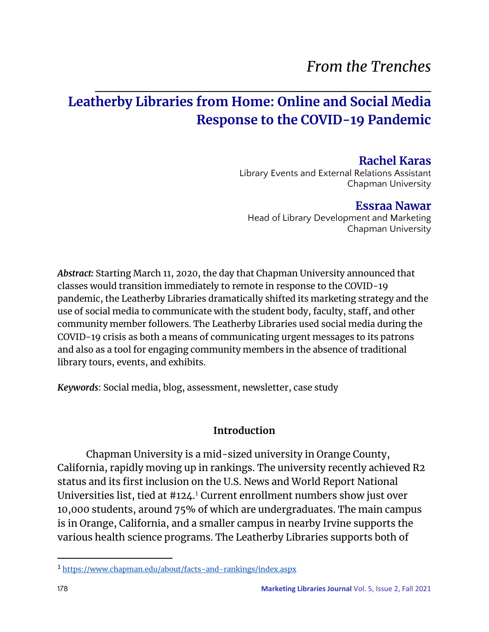# *From the Trenches*

# $\mathcal{L}_\text{max}$  , and the contract of the contract of the contract of the contract of the contract of the contract of the contract of the contract of the contract of the contract of the contract of the contract of the contr **Leatherby Libraries from Home: Online and Social Media Response to the COVID-19 Pandemic**

### **Rachel Karas**

Library Events and External Relations Assistant Chapman University

## **Essraa Nawar**

Head of Library Development and Marketing Chapman University

*Abstract:* Starting March 11, 2020, the day that Chapman University announced that classes would transition immediately to remote in response to the COVID-19 pandemic, the Leatherby Libraries dramatically shifted its marketing strategy and the use of social media to communicate with the student body, faculty, staff, and other community member followers. The Leatherby Libraries used social media during the COVID-19 crisis as both a means of communicating urgent messages to its patrons and also as a tool for engaging community members in the absence of traditional library tours, events, and exhibits.

*Keywords*: Social media, blog, assessment, newsletter, case study

### **Introduction**

Chapman University is a mid-sized university in Orange County, California, rapidly moving up in rankings. The university recently achieved R2 status and its first inclusion on the U.S. News and World Report National Universities list, tied at  $\#124$ .<sup>1</sup> Current enrollment numbers show just over 10,000 students, around 75% of which are undergraduates. The main campus is in Orange, California, and a smaller campus in nearby Irvine supports the various health science programs. The Leatherby Libraries supports both of

<sup>1</sup> <https://www.chapman.edu/about/facts-and-rankings/index.aspx>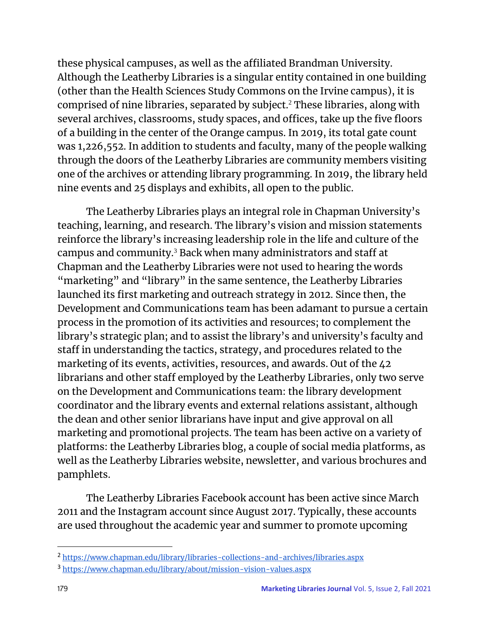these physical campuses, as well as the affiliated Brandman University. Although the Leatherby Libraries is a singular entity contained in one building (other than the Health Sciences Study Commons on the Irvine campus), it is comprised of nine libraries, separated by subject.<sup>2</sup> These libraries, along with several archives, classrooms, study spaces, and offices, take up the five floors of a building in the center of the Orange campus. In 2019, its total gate count was 1,226,552. In addition to students and faculty, many of the people walking through the doors of the Leatherby Libraries are community members visiting one of the archives or attending library programming. In 2019, the library held nine events and 25 displays and exhibits, all open to the public.

The Leatherby Libraries plays an integral role in Chapman University's teaching, learning, and research. The library's vision and mission statements reinforce the library's increasing leadership role in the life and culture of the campus and community.<sup>3</sup> Back when many administrators and staff at Chapman and the Leatherby Libraries were not used to hearing the words "marketing" and "library" in the same sentence, the Leatherby Libraries launched its first marketing and outreach strategy in 2012. Since then, the Development and Communications team has been adamant to pursue a certain process in the promotion of its activities and resources; to complement the library's strategic plan; and to assist the library's and university's faculty and staff in understanding the tactics, strategy, and procedures related to the marketing of its events, activities, resources, and awards. Out of the 42 librarians and other staff employed by the Leatherby Libraries, only two serve on the Development and Communications team: the library development coordinator and the library events and external relations assistant, although the dean and other senior librarians have input and give approval on all marketing and promotional projects. The team has been active on a variety of platforms: the Leatherby Libraries blog, a couple of social media platforms, as well as the Leatherby Libraries website, newsletter, and various brochures and pamphlets.

The Leatherby Libraries Facebook account has been active since March 2011 and the Instagram account since August 2017. Typically, these accounts are used throughout the academic year and summer to promote upcoming

<sup>2</sup> <https://www.chapman.edu/library/libraries-collections-and-archives/libraries.aspx>

<sup>3</sup> <https://www.chapman.edu/library/about/mission-vision-values.aspx>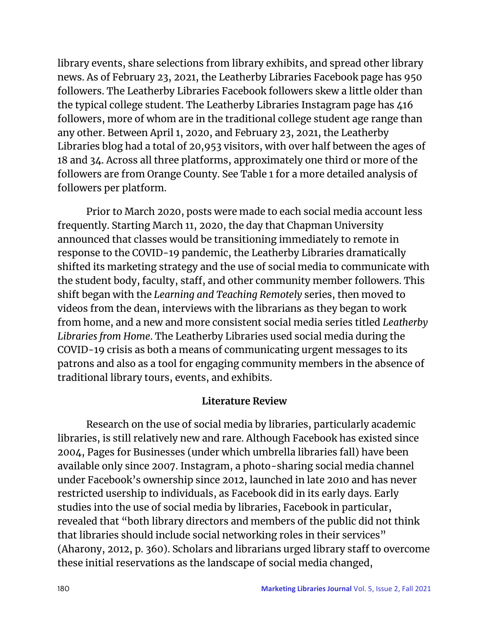library events, share selections from library exhibits, and spread other library news. As of February 23, 2021, the Leatherby Libraries Facebook page has 950 followers. The Leatherby Libraries Facebook followers skew a little older than the typical college student. The Leatherby Libraries Instagram page has 416 followers, more of whom are in the traditional college student age range than any other. Between April 1, 2020, and February 23, 2021, the Leatherby Libraries blog had a total of 20,953 visitors, with over half between the ages of 18 and 34. Across all three platforms, approximately one third or more of the followers are from Orange County. See Table 1 for a more detailed analysis of followers per platform.

Prior to March 2020, posts were made to each social media account less frequently. Starting March 11, 2020, the day that Chapman University announced that classes would be transitioning immediately to remote in response to the COVID-19 pandemic, the Leatherby Libraries dramatically shifted its marketing strategy and the use of social media to communicate with the student body, faculty, staff, and other community member followers. This shift began with the *Learning and Teaching Remotely* series, then moved to videos from the dean, interviews with the librarians as they began to work from home, and a new and more consistent social media series titled *Leatherby Libraries from Home*. The Leatherby Libraries used social media during the COVID-19 crisis as both a means of communicating urgent messages to its patrons and also as a tool for engaging community members in the absence of traditional library tours, events, and exhibits.

### **Literature Review**

 Research on the use of social media by libraries, particularly academic libraries, is still relatively new and rare. Although Facebook has existed since 2004, Pages for Businesses (under which umbrella libraries fall) have been available only since 2007. Instagram, a photo-sharing social media channel under Facebook's ownership since 2012, launched in late 2010 and has never restricted usership to individuals, as Facebook did in its early days. Early studies into the use of social media by libraries, Facebook in particular, revealed that "both library directors and members of the public did not think that libraries should include social networking roles in their services" (Aharony, 2012, p. 360). Scholars and librarians urged library staff to overcome these initial reservations as the landscape of social media changed,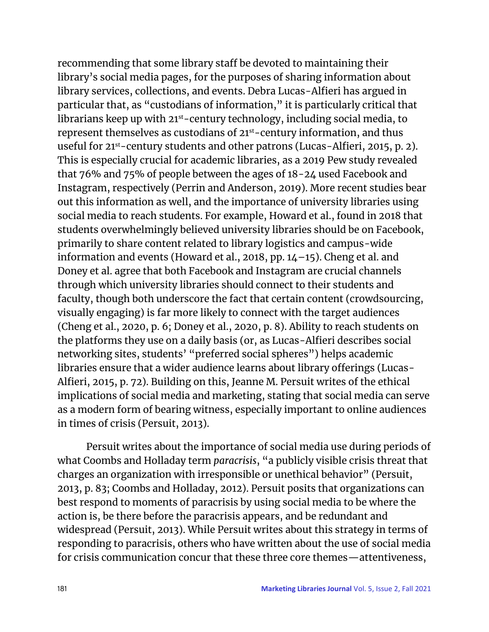recommending that some library staff be devoted to maintaining their library's social media pages, for the purposes of sharing information about library services, collections, and events. Debra Lucas-Alfieri has argued in particular that, as "custodians of information," it is particularly critical that librarians keep up with 21<sup>st</sup>-century technology, including social media, to represent themselves as custodians of 21st-century information, and thus useful for 21<sup>st</sup>-century students and other patrons (Lucas-Alfieri, 2015, p. 2). This is especially crucial for academic libraries, as a 2019 Pew study revealed that 76% and 75% of people between the ages of 18-24 used Facebook and Instagram, respectively (Perrin and Anderson, 2019). More recent studies bear out this information as well, and the importance of university libraries using social media to reach students. For example, Howard et al., found in 2018 that students overwhelmingly believed university libraries should be on Facebook, primarily to share content related to library logistics and campus-wide information and events (Howard et al., 2018, pp. 14–15). Cheng et al. and Doney et al. agree that both Facebook and Instagram are crucial channels through which university libraries should connect to their students and faculty, though both underscore the fact that certain content (crowdsourcing, visually engaging) is far more likely to connect with the target audiences (Cheng et al., 2020, p. 6; Doney et al., 2020, p. 8). Ability to reach students on the platforms they use on a daily basis (or, as Lucas-Alfieri describes social networking sites, students' "preferred social spheres") helps academic libraries ensure that a wider audience learns about library offerings (Lucas-Alfieri, 2015, p. 72). Building on this, Jeanne M. Persuit writes of the ethical implications of social media and marketing, stating that social media can serve as a modern form of bearing witness, especially important to online audiences in times of crisis (Persuit, 2013).

 Persuit writes about the importance of social media use during periods of what Coombs and Holladay term *paracrisis*, "a publicly visible crisis threat that charges an organization with irresponsible or unethical behavior" (Persuit, 2013, p. 83; Coombs and Holladay, 2012). Persuit posits that organizations can best respond to moments of paracrisis by using social media to be where the action is, be there before the paracrisis appears, and be redundant and widespread (Persuit, 2013). While Persuit writes about this strategy in terms of responding to paracrisis, others who have written about the use of social media for crisis communication concur that these three core themes—attentiveness,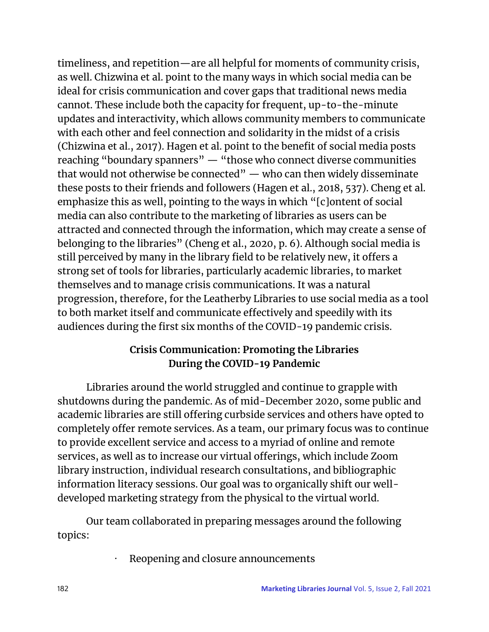timeliness, and repetition—are all helpful for moments of community crisis, as well. Chizwina et al. point to the many ways in which social media can be ideal for crisis communication and cover gaps that traditional news media cannot. These include both the capacity for frequent, up-to-the-minute updates and interactivity, which allows community members to communicate with each other and feel connection and solidarity in the midst of a crisis (Chizwina et al., 2017). Hagen et al. point to the benefit of social media posts reaching "boundary spanners" — "those who connect diverse communities that would not otherwise be connected" — who can then widely disseminate these posts to their friends and followers (Hagen et al., 2018, 537). Cheng et al. emphasize this as well, pointing to the ways in which "[c]ontent of social media can also contribute to the marketing of libraries as users can be attracted and connected through the information, which may create a sense of belonging to the libraries" (Cheng et al., 2020, p. 6). Although social media is still perceived by many in the library field to be relatively new, it offers a strong set of tools for libraries, particularly academic libraries, to market themselves and to manage crisis communications. It was a natural progression, therefore, for the Leatherby Libraries to use social media as a tool to both market itself and communicate effectively and speedily with its audiences during the first six months of the COVID-19 pandemic crisis.

## **Crisis Communication: Promoting the Libraries During the COVID-19 Pandemic**

Libraries around the world struggled and continue to grapple with shutdowns during the pandemic. As of mid-December 2020, some public and academic libraries are still offering curbside services and others have opted to completely offer remote services. As a team, our primary focus was to continue to provide excellent service and access to a myriad of online and remote services, as well as to increase our virtual offerings, which include Zoom library instruction, individual research consultations, and bibliographic information literacy sessions. Our goal was to organically shift our welldeveloped marketing strategy from the physical to the virtual world.

 Our team collaborated in preparing messages around the following topics:

Reopening and closure announcements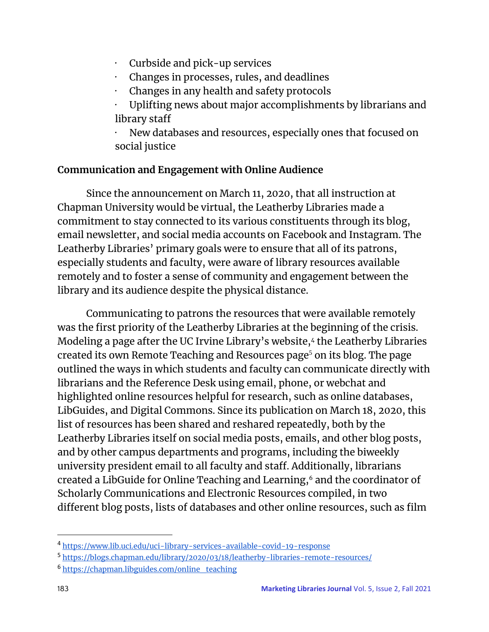- · Curbside and pick-up services
- · Changes in processes, rules, and deadlines
- · Changes in any health and safety protocols
- · Uplifting news about major accomplishments by librarians and library staff

New databases and resources, especially ones that focused on social justice

## **Communication and Engagement with Online Audience**

Since the announcement on March 11, 2020, that all instruction at Chapman University would be virtual, the Leatherby Libraries made a commitment to stay connected to its various constituents through its blog, email newsletter, and social media accounts on Facebook and Instagram. The Leatherby Libraries' primary goals were to ensure that all of its patrons, especially students and faculty, were aware of library resources available remotely and to foster a sense of community and engagement between the library and its audience despite the physical distance.

Communicating to patrons the resources that were available remotely was the first priority of the Leatherby Libraries at the beginning of the crisis. Modeling a page after the UC Irvine Library's website,4 the Leatherby Libraries . created its own Remote Teaching and Resources page<sup>5</sup> on its blog. The page outlined the ways in which students and faculty can communicate directly with librarians and the Reference Desk using email, phone, or webchat and highlighted online resources helpful for research, such as online databases, LibGuides, and Digital Commons. Since its publication on March 18, 2020, this list of resources has been shared and reshared repeatedly, both by the Leatherby Libraries itself on social media posts, emails, and other blog posts, and by other campus departments and programs, including the biweekly university president email to all faculty and staff. Additionally, librarians created a LibGuide for Online Teaching and Learning,<sup>6</sup> and the coordinator of Scholarly Communications and Electronic Resources compiled, in two different blog posts, lists of databases and other online resources, such as film

<sup>4</sup> <https://www.lib.uci.edu/uci-library-services-available-covid-19-response>

<sup>5</sup> <https://blogs.chapman.edu/library/2020/03/18/leatherby-libraries-remote-resources/>

<sup>6</sup> [https://chapman.libguides.com/online\\_teaching](https://chapman.libguides.com/online_teaching)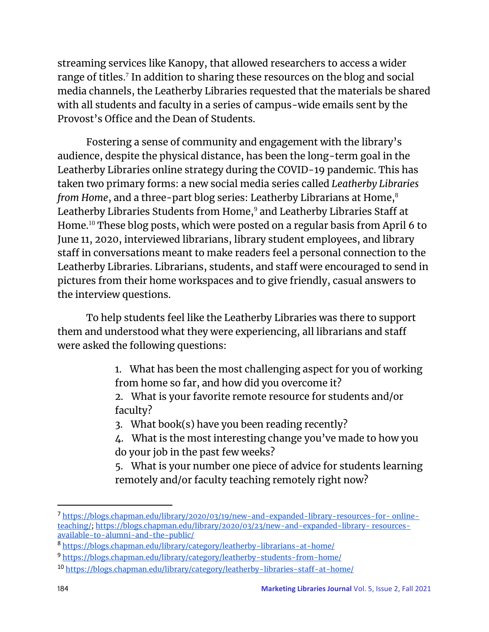streaming services like Kanopy, that allowed researchers to access a wider range of titles.<sup>7</sup> In addition to sharing these resources on the blog and social media channels, the Leatherby Libraries requested that the materials be shared with all students and faculty in a series of campus-wide emails sent by the Provost's Office and the Dean of Students.

Fostering a sense of community and engagement with the library's audience, despite the physical distance, has been the long-term goal in the Leatherby Libraries online strategy during the COVID-19 pandemic. This has taken two primary forms: a new social media series called *Leatherby Libraries from Home*, and a three-part blog series: Leatherby Librarians at Home,<sup>8</sup> Leatherby Libraries Students from Home,<sup>9</sup> and Leatherby Libraries Staff at Home.<sup>10</sup> These blog posts, which were posted on a regular basis from April 6 to June 11, 2020, interviewed librarians, library student employees, and library staff in conversations meant to make readers feel a personal connection to the Leatherby Libraries. Librarians, students, and staff were encouraged to send in pictures from their home workspaces and to give friendly, casual answers to the interview questions.

To help students feel like the Leatherby Libraries was there to support them and understood what they were experiencing, all librarians and staff were asked the following questions:

> 1. What has been the most challenging aspect for you of working from home so far, and how did you overcome it?

2. What is your favorite remote resource for students and/or faculty?

3. What book(s) have you been reading recently?

4. What is the most interesting change you've made to how you do your job in the past few weeks?

5. What is your number one piece of advice for students learning remotely and/or faculty teaching remotely right now?

<sup>7</sup> [https://blogs.chapman.edu/library/2020/03/19/new-and-expanded-library-resources-for-](https://blogs.chapman.edu/library/2020/03/19/new-and-expanded-library-resources-for-online-teaching/) online[teaching/](https://blogs.chapman.edu/library/2020/03/19/new-and-expanded-library-resources-for-online-teaching/)[;](https://blogs.chapman.edu/library/2020/03/23/new-and-expanded-library-resources-available-to-alumni-and-the-public/) [https://blogs.chapman.edu/library/2020/03/23/new-and-expanded-library-](https://blogs.chapman.edu/library/2020/03/23/new-and-expanded-library-resources-available-to-alumni-and-the-public/) [resources](https://blogs.chapman.edu/library/2020/03/23/new-and-expanded-library-resources-available-to-alumni-and-the-public/)[available-to-alumni-and-the-public/](https://blogs.chapman.edu/library/2020/03/23/new-and-expanded-library-resources-available-to-alumni-and-the-public/)

<sup>8</sup> <https://blogs.chapman.edu/library/category/leatherby-librarians-at-home/>

<sup>9</sup> <https://blogs.chapman.edu/library/category/leatherby-students-from-home/>

<sup>10</sup> <https://blogs.chapman.edu/library/category/leatherby-libraries-staff-at-home/>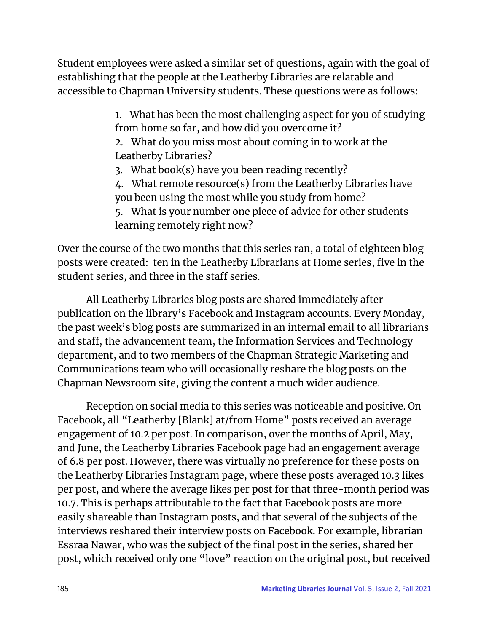Student employees were asked a similar set of questions, again with the goal of establishing that the people at the Leatherby Libraries are relatable and accessible to Chapman University students. These questions were as follows:

> 1. What has been the most challenging aspect for you of studying from home so far, and how did you overcome it?

2. What do you miss most about coming in to work at the Leatherby Libraries?

3. What book(s) have you been reading recently?

4. What remote resource(s) from the Leatherby Libraries have you been using the most while you study from home?

5. What is your number one piece of advice for other students learning remotely right now?

Over the course of the two months that this series ran, a total of eighteen blog posts were created: ten in the Leatherby Librarians at Home series, five in the student series, and three in the staff series.

 All Leatherby Libraries blog posts are shared immediately after publication on the library's Facebook and Instagram accounts. Every Monday, the past week's blog posts are summarized in an internal email to all librarians and staff, the advancement team, the Information Services and Technology department, and to two members of the Chapman Strategic Marketing and Communications team who will occasionally reshare the blog posts on the Chapman Newsroom site, giving the content a much wider audience.

 Reception on social media to this series was noticeable and positive. On Facebook, all "Leatherby [Blank] at/from Home" posts received an average engagement of 10.2 per post. In comparison, over the months of April, May, and June, the Leatherby Libraries Facebook page had an engagement average of 6.8 per post. However, there was virtually no preference for these posts on the Leatherby Libraries Instagram page, where these posts averaged 10.3 likes per post, and where the average likes per post for that three-month period was 10.7. This is perhaps attributable to the fact that Facebook posts are more easily shareable than Instagram posts, and that several of the subjects of the interviews reshared their interview posts on Facebook. For example, librarian Essraa Nawar, who was the subject of the final post in the series, shared her post, which received only one "love" reaction on the original post, but received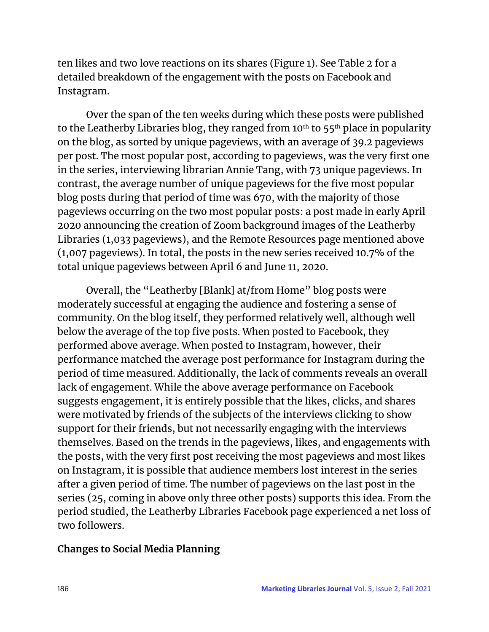ten likes and two love reactions on its shares (Figure 1). See Table 2 for a detailed breakdown of the engagement with the posts on Facebook and Instagram.

 Over the span of the ten weeks during which these posts were published to the Leatherby Libraries blog, they ranged from 10<sup>th</sup> to 55<sup>th</sup> place in popularity on the blog, as sorted by unique pageviews, with an average of 39.2 pageviews per post. The most popular post, according to pageviews, was the very first one in the series, interviewing librarian Annie Tang, with 73 unique pageviews. In contrast, the average number of unique pageviews for the five most popular blog posts during that period of time was 670, with the majority of those pageviews occurring on the two most popular posts: a post made in early April 2020 announcing the creation of Zoom background images of the Leatherby Libraries (1,033 pageviews), and the Remote Resources page mentioned above (1,007 pageviews). In total, the posts in the new series received 10.7% of the total unique pageviews between April 6 and June 11, 2020.

 Overall, the "Leatherby [Blank] at/from Home" blog posts were moderately successful at engaging the audience and fostering a sense of community. On the blog itself, they performed relatively well, although well below the average of the top five posts. When posted to Facebook, they performed above average. When posted to Instagram, however, their performance matched the average post performance for Instagram during the period of time measured. Additionally, the lack of comments reveals an overall lack of engagement. While the above average performance on Facebook suggests engagement, it is entirely possible that the likes, clicks, and shares were motivated by friends of the subjects of the interviews clicking to show support for their friends, but not necessarily engaging with the interviews themselves. Based on the trends in the pageviews, likes, and engagements with the posts, with the very first post receiving the most pageviews and most likes on Instagram, it is possible that audience members lost interest in the series after a given period of time. The number of pageviews on the last post in the series (25, coming in above only three other posts) supports this idea. From the period studied, the Leatherby Libraries Facebook page experienced a net loss of two followers.

### **Changes to Social Media Planning**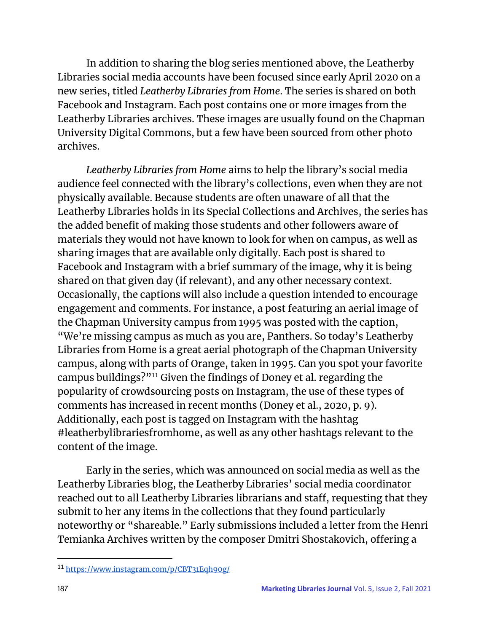In addition to sharing the blog series mentioned above, the Leatherby Libraries social media accounts have been focused since early April 2020 on a new series, titled *Leatherby Libraries from Home*. The series is shared on both Facebook and Instagram. Each post contains one or more images from the Leatherby Libraries archives. These images are usually found on the Chapman University Digital Commons, but a few have been sourced from other photo archives.

 *Leatherby Libraries from Home* aims to help the library's social media audience feel connected with the library's collections, even when they are not physically available. Because students are often unaware of all that the Leatherby Libraries holds in its Special Collections and Archives, the series has the added benefit of making those students and other followers aware of materials they would not have known to look for when on campus, as well as sharing images that are available only digitally. Each post is shared to Facebook and Instagram with a brief summary of the image, why it is being shared on that given day (if relevant), and any other necessary context. Occasionally, the captions will also include a question intended to encourage engagement and comments. For instance, a post featuring an aerial image of the Chapman University campus from 1995 was posted with the caption, "We're missing campus as much as you are, Panthers. So today's Leatherby Libraries from Home is a great aerial photograph of the Chapman University campus, along with parts of Orange, taken in 1995. Can you spot your favorite campus buildings?"<sup>11</sup> Given the findings of Doney et al. regarding the popularity of crowdsourcing posts on Instagram, the use of these types of comments has increased in recent months (Doney et al., 2020, p. 9). Additionally, each post is tagged on Instagram with the hashtag #leatherbylibrariesfromhome, as well as any other hashtags relevant to the content of the image.

 Early in the series, which was announced on social media as well as the Leatherby Libraries blog, the Leatherby Libraries' social media coordinator reached out to all Leatherby Libraries librarians and staff, requesting that they submit to her any items in the collections that they found particularly noteworthy or "shareable." Early submissions included a letter from the Henri Temianka Archives written by the composer Dmitri Shostakovich, offering a

<sup>11</sup> <https://www.instagram.com/p/CBT31Eqh90g/>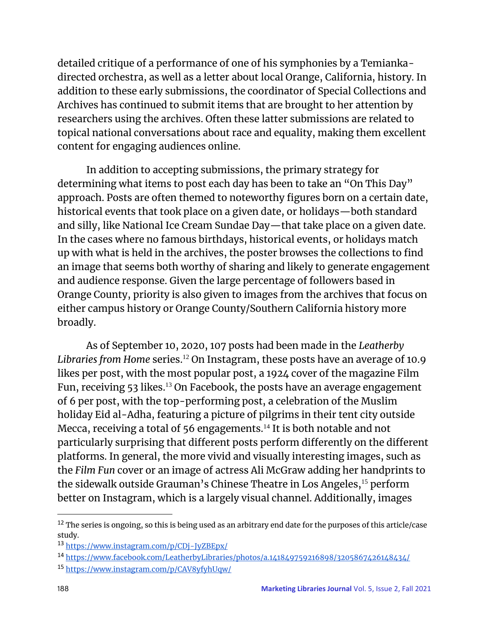detailed critique of a performance of one of his symphonies by a Temiankadirected orchestra, as well as a letter about local Orange, California, history. In addition to these early submissions, the coordinator of Special Collections and Archives has continued to submit items that are brought to her attention by researchers using the archives. Often these latter submissions are related to topical national conversations about race and equality, making them excellent content for engaging audiences online.

 In addition to accepting submissions, the primary strategy for determining what items to post each day has been to take an "On This Day" approach. Posts are often themed to noteworthy figures born on a certain date, historical events that took place on a given date, or holidays—both standard and silly, like National Ice Cream Sundae Day—that take place on a given date. In the cases where no famous birthdays, historical events, or holidays match up with what is held in the archives, the poster browses the collections to find an image that seems both worthy of sharing and likely to generate engagement and audience response. Given the large percentage of followers based in Orange County, priority is also given to images from the archives that focus on either campus history or Orange County/Southern California history more broadly.

 As of September 10, 2020, 107 posts had been made in the *Leatherby*  Libraries from Home series.<sup>12</sup> On Instagram, these posts have an average of 10.9 likes per post, with the most popular post, a 1924 cover of the magazine Film Fun, receiving 53 likes.<sup>13</sup> On Facebook, the posts have an average engagement of 6 per post, with the top-performing post, a celebration of the Muslim holiday Eid al-Adha, featuring a picture of pilgrims in their tent city outside Mecca, receiving a total of 56 engagements.<sup>14</sup> It is both notable and not particularly surprising that different posts perform differently on the different platforms. In general, the more vivid and visually interesting images, such as the *Film Fun* cover or an image of actress Ali McGraw adding her handprints to the sidewalk outside Grauman's Chinese Theatre in Los Angeles,<sup>15</sup> perform better on Instagram, which is a largely visual channel. Additionally, images

<sup>&</sup>lt;sup>12</sup> The series is ongoing, so this is being used as an arbitrary end date for the purposes of this article/case study.

<sup>13</sup> <https://www.instagram.com/p/CDj-JyZBEpx/>

<sup>14</sup> <https://www.facebook.com/LeatherbyLibraries/photos/a.141849759216898/3205867426148434/>

<sup>15</sup> <https://www.instagram.com/p/CAV8yfyhUqw/>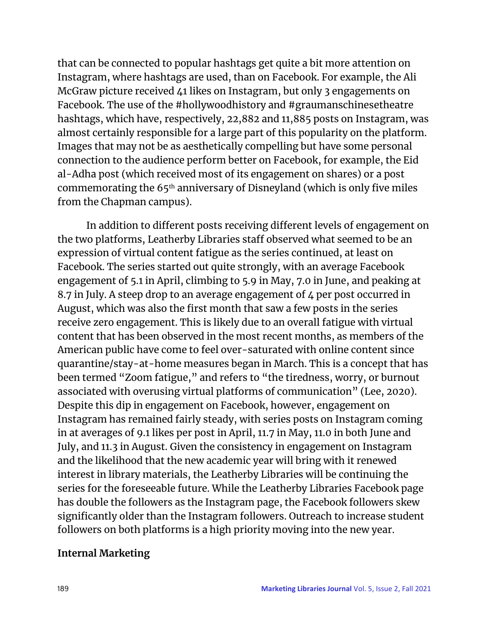that can be connected to popular hashtags get quite a bit more attention on Instagram, where hashtags are used, than on Facebook. For example, the Ali McGraw picture received 41 likes on Instagram, but only 3 engagements on Facebook. The use of the #hollywoodhistory and #graumanschinesetheatre hashtags, which have, respectively, 22,882 and 11,885 posts on Instagram, was almost certainly responsible for a large part of this popularity on the platform. Images that may not be as aesthetically compelling but have some personal connection to the audience perform better on Facebook, for example, the Eid al-Adha post (which received most of its engagement on shares) or a post commemorating the 65th anniversary of Disneyland (which is only five miles from the Chapman campus).

 In addition to different posts receiving different levels of engagement on the two platforms, Leatherby Libraries staff observed what seemed to be an expression of virtual content fatigue as the series continued, at least on Facebook. The series started out quite strongly, with an average Facebook engagement of 5.1 in April, climbing to 5.9 in May, 7.0 in June, and peaking at 8.7 in July. A steep drop to an average engagement of 4 per post occurred in August, which was also the first month that saw a few posts in the series receive zero engagement. This is likely due to an overall fatigue with virtual content that has been observed in the most recent months, as members of the American public have come to feel over-saturated with online content since quarantine/stay-at-home measures began in March. This is a concept that has been termed "Zoom fatigue," and refers to "the tiredness, worry, or burnout associated with overusing virtual platforms of communication" (Lee, 2020). Despite this dip in engagement on Facebook, however, engagement on Instagram has remained fairly steady, with series posts on Instagram coming in at averages of 9.1 likes per post in April, 11.7 in May, 11.0 in both June and July, and 11.3 in August. Given the consistency in engagement on Instagram and the likelihood that the new academic year will bring with it renewed interest in library materials, the Leatherby Libraries will be continuing the series for the foreseeable future. While the Leatherby Libraries Facebook page has double the followers as the Instagram page, the Facebook followers skew significantly older than the Instagram followers. Outreach to increase student followers on both platforms is a high priority moving into the new year.

### **Internal Marketing**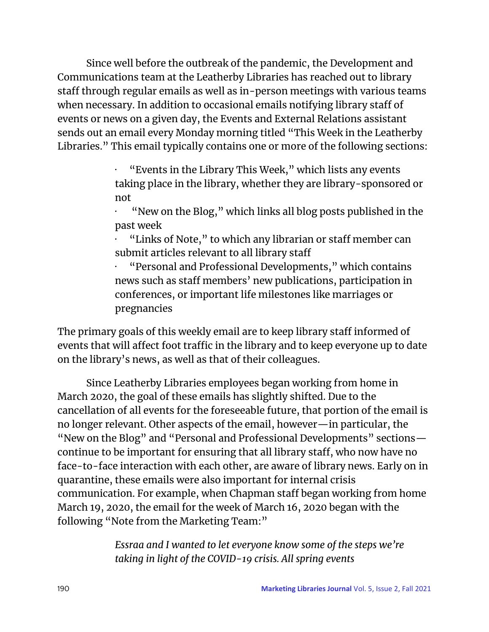Since well before the outbreak of the pandemic, the Development and Communications team at the Leatherby Libraries has reached out to library staff through regular emails as well as in-person meetings with various teams when necessary. In addition to occasional emails notifying library staff of events or news on a given day, the Events and External Relations assistant sends out an email every Monday morning titled "This Week in the Leatherby Libraries." This email typically contains one or more of the following sections:

> · "Events in the Library This Week," which lists any events taking place in the library, whether they are library-sponsored or not

> · "New on the Blog," which links all blog posts published in the past week

· "Links of Note," to which any librarian or staff member can submit articles relevant to all library staff

· "Personal and Professional Developments," which contains news such as staff members' new publications, participation in conferences, or important life milestones like marriages or pregnancies

The primary goals of this weekly email are to keep library staff informed of events that will affect foot traffic in the library and to keep everyone up to date on the library's news, as well as that of their colleagues.

 Since Leatherby Libraries employees began working from home in March 2020, the goal of these emails has slightly shifted. Due to the cancellation of all events for the foreseeable future, that portion of the email is no longer relevant. Other aspects of the email, however—in particular, the "New on the Blog" and "Personal and Professional Developments" sections continue to be important for ensuring that all library staff, who now have no face-to-face interaction with each other, are aware of library news. Early on in quarantine, these emails were also important for internal crisis communication. For example, when Chapman staff began working from home March 19, 2020, the email for the week of March 16, 2020 began with the following "Note from the Marketing Team:"

> *Essraa and I wanted to let everyone know some of the steps we're taking in light of the COVID-19 crisis. All spring events*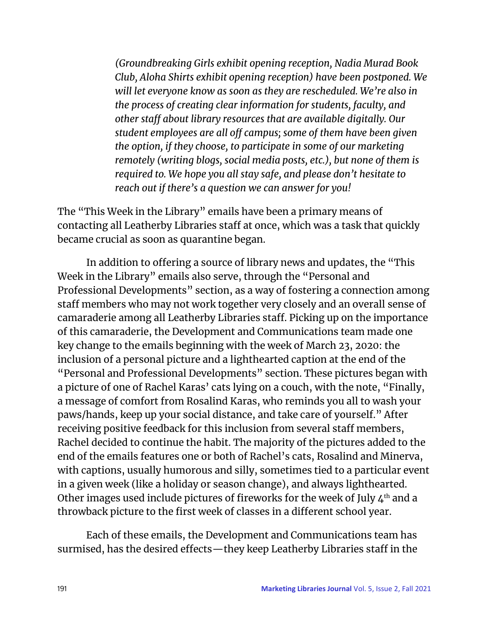*(Groundbreaking Girls exhibit opening reception, Nadia Murad Book Club, Aloha Shirts exhibit opening reception) have been postponed. We will let everyone know as soon as they are rescheduled. We're also in the process of creating clear information for students, faculty, and other staff about library resources that are available digitally. Our student employees are all off campus; some of them have been given the option, if they choose, to participate in some of our marketing remotely (writing blogs, social media posts, etc.), but none of them is required to. We hope you all stay safe, and please don't hesitate to reach out if there's a question we can answer for you!*

The "This Week in the Library" emails have been a primary means of contacting all Leatherby Libraries staff at once, which was a task that quickly became crucial as soon as quarantine began.

 In addition to offering a source of library news and updates, the "This Week in the Library" emails also serve, through the "Personal and Professional Developments" section, as a way of fostering a connection among staff members who may not work together very closely and an overall sense of camaraderie among all Leatherby Libraries staff. Picking up on the importance of this camaraderie, the Development and Communications team made one key change to the emails beginning with the week of March 23, 2020: the inclusion of a personal picture and a lighthearted caption at the end of the "Personal and Professional Developments" section. These pictures began with a picture of one of Rachel Karas' cats lying on a couch, with the note, "Finally, a message of comfort from Rosalind Karas, who reminds you all to wash your paws/hands, keep up your social distance, and take care of yourself." After receiving positive feedback for this inclusion from several staff members, Rachel decided to continue the habit. The majority of the pictures added to the end of the emails features one or both of Rachel's cats, Rosalind and Minerva, with captions, usually humorous and silly, sometimes tied to a particular event in a given week (like a holiday or season change), and always lighthearted. Other images used include pictures of fireworks for the week of July  $4<sup>th</sup>$  and a throwback picture to the first week of classes in a different school year.

 Each of these emails, the Development and Communications team has surmised, has the desired effects—they keep Leatherby Libraries staff in the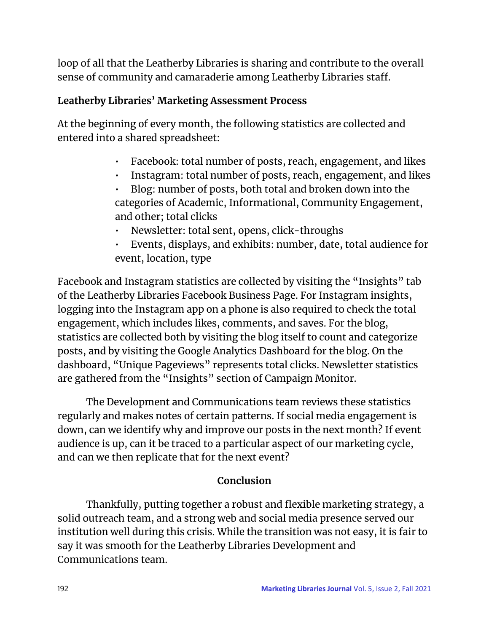loop of all that the Leatherby Libraries is sharing and contribute to the overall sense of community and camaraderie among Leatherby Libraries staff.

## **Leatherby Libraries' Marketing Assessment Process**

At the beginning of every month, the following statistics are collected and entered into a shared spreadsheet:

- Facebook: total number of posts, reach, engagement, and likes
- Instagram: total number of posts, reach, engagement, and likes
- Blog: number of posts, both total and broken down into the categories of Academic, Informational, Community Engagement, and other; total clicks
- Newsletter: total sent, opens, click-throughs
- Events, displays, and exhibits: number, date, total audience for event, location, type

Facebook and Instagram statistics are collected by visiting the "Insights" tab of the Leatherby Libraries Facebook Business Page. For Instagram insights, logging into the Instagram app on a phone is also required to check the total engagement, which includes likes, comments, and saves. For the blog, statistics are collected both by visiting the blog itself to count and categorize posts, and by visiting the Google Analytics Dashboard for the blog. On the dashboard, "Unique Pageviews" represents total clicks. Newsletter statistics are gathered from the "Insights" section of Campaign Monitor.

 The Development and Communications team reviews these statistics regularly and makes notes of certain patterns. If social media engagement is down, can we identify why and improve our posts in the next month? If event audience is up, can it be traced to a particular aspect of our marketing cycle, and can we then replicate that for the next event?

## **Conclusion**

Thankfully, putting together a robust and flexible marketing strategy, a solid outreach team, and a strong web and social media presence served our institution well during this crisis. While the transition was not easy, it is fair to say it was smooth for the Leatherby Libraries Development and Communications team.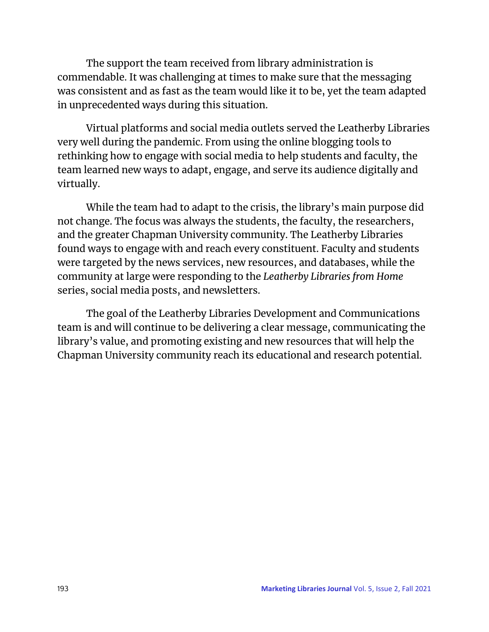The support the team received from library administration is commendable. It was challenging at times to make sure that the messaging was consistent and as fast as the team would like it to be, yet the team adapted in unprecedented ways during this situation.

Virtual platforms and social media outlets served the Leatherby Libraries very well during the pandemic. From using the online blogging tools to rethinking how to engage with social media to help students and faculty, the team learned new ways to adapt, engage, and serve its audience digitally and virtually.

While the team had to adapt to the crisis, the library's main purpose did not change. The focus was always the students, the faculty, the researchers, and the greater Chapman University community. The Leatherby Libraries found ways to engage with and reach every constituent. Faculty and students were targeted by the news services, new resources, and databases, while the community at large were responding to the *Leatherby Libraries from Home* series, social media posts, and newsletters.

The goal of the Leatherby Libraries Development and Communications team is and will continue to be delivering a clear message, communicating the library's value, and promoting existing and new resources that will help the Chapman University community reach its educational and research potential.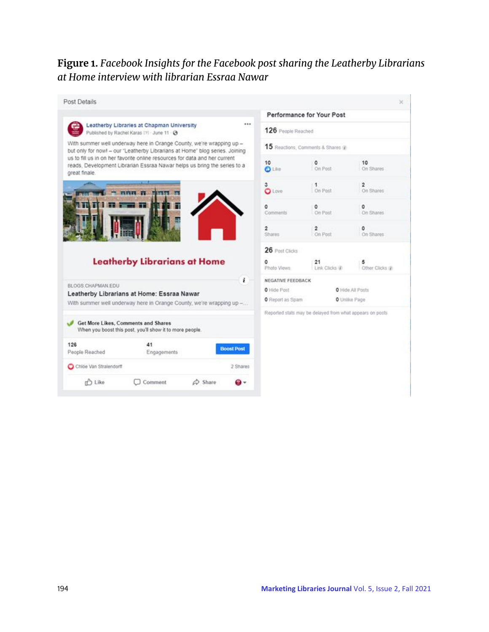## **Figure 1.** *Facebook Insights for the Facebook post sharing the Leatherby Librarians at Home interview with librarian Essraa Nawar*

| Post Details                                                                                                                                        |                                                                                                                                                        |                                                                      |                                   |                                                           |                  |  |  |
|-----------------------------------------------------------------------------------------------------------------------------------------------------|--------------------------------------------------------------------------------------------------------------------------------------------------------|----------------------------------------------------------------------|-----------------------------------|-----------------------------------------------------------|------------------|--|--|
|                                                                                                                                                     |                                                                                                                                                        |                                                                      | Performance for Your Post         |                                                           |                  |  |  |
|                                                                                                                                                     | <br>Leatherby Libraries at Chapman University<br>Published by Rachel Karas (?) - June 11 - @                                                           |                                                                      |                                   | 126 People Reached                                        |                  |  |  |
| With summer well underway here in Orange County, we're wrapping up -<br>but only for now! - our "Leatherby Librarians at Home" blog series. Joining |                                                                                                                                                        |                                                                      | 15 Reactions, Comments & Shares @ |                                                           |                  |  |  |
| great finale.                                                                                                                                       | us to fill us in on her favorite online resources for data and her current<br>reads, Development Librarian Essraa Nawar helps us bring the series to a |                                                                      | 10<br><b>D</b> Like               | $\circ$<br>On Post                                        | 10<br>On Shares  |  |  |
|                                                                                                                                                     | mmm rs ments an                                                                                                                                        |                                                                      | з<br><b>O</b> Love                | 1<br>On Post                                              | 2<br>On Shares   |  |  |
|                                                                                                                                                     |                                                                                                                                                        |                                                                      | ٥<br>Comments                     | ٥<br>On Post                                              | On Shares        |  |  |
|                                                                                                                                                     |                                                                                                                                                        |                                                                      |                                   |                                                           |                  |  |  |
|                                                                                                                                                     |                                                                                                                                                        |                                                                      | $\overline{2}$<br>Shares          | $\overline{2}$<br>On Post                                 | ٥<br>On Shares   |  |  |
|                                                                                                                                                     |                                                                                                                                                        |                                                                      | 26 Post Clicks                    |                                                           |                  |  |  |
|                                                                                                                                                     | <b>Leatherby Librarians at Home</b>                                                                                                                    |                                                                      | ō<br>Photo Views                  | 21<br>Link Clicks (8)                                     | Other Clicks (@) |  |  |
|                                                                                                                                                     |                                                                                                                                                        | ï                                                                    | NEGATIVE FEEDBACK                 |                                                           |                  |  |  |
|                                                                                                                                                     | Leatherby Librarians at Home: Essraa Nawar                                                                                                             |                                                                      | O Hide Post                       |                                                           | O Hide All Posts |  |  |
|                                                                                                                                                     |                                                                                                                                                        | With summer well underway here in Orange County, we're wrapping up - | O Report as Spam                  |                                                           | O União Page     |  |  |
|                                                                                                                                                     | Get More Likes, Comments and Shares<br>When you boost this post, you'll show it to more people.                                                        |                                                                      |                                   | Reported stats may be delayed from what appears on posts. |                  |  |  |
|                                                                                                                                                     | 41<br>Engagements                                                                                                                                      | <b>Boost Post</b>                                                    |                                   |                                                           |                  |  |  |
| BLOGS CHAPMAN EDU<br>126<br>People Reached<br>Chice Van Stralendorff                                                                                |                                                                                                                                                        | 2 Shares                                                             |                                   |                                                           |                  |  |  |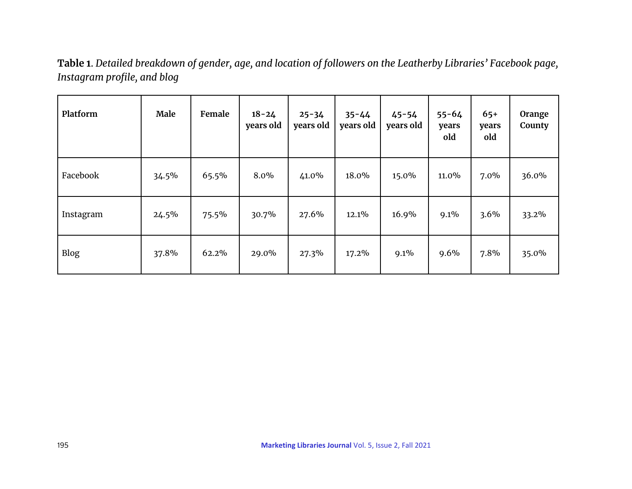**Table 1**. *Detailed breakdown of gender, age, and location of followers on the Leatherby Libraries' Facebook page, Instagram profile, and blog*

| Platform    | Male  | Female | $18 - 24$<br>years old | $25 - 34$<br>years old | $35 - 44$<br>years old | $45 - 54$<br>years old | $55 - 64$<br>years<br>old | $65+$<br>years<br>old | Orange<br>County |
|-------------|-------|--------|------------------------|------------------------|------------------------|------------------------|---------------------------|-----------------------|------------------|
| Facebook    | 34.5% | 65.5%  | 8.0%                   | 41.0%                  | 18.0%                  | 15.0%                  | 11.0%                     | $7.0\%$               | 36.0%            |
| Instagram   | 24.5% | 75.5%  | 30.7%                  | 27.6%                  | 12.1%                  | 16.9%                  | 9.1%                      | 3.6%                  | 33.2%            |
| <b>Blog</b> | 37.8% | 62.2%  | 29.0%                  | 27.3%                  | 17.2%                  | 9.1%                   | 9.6%                      | 7.8%                  | 35.0%            |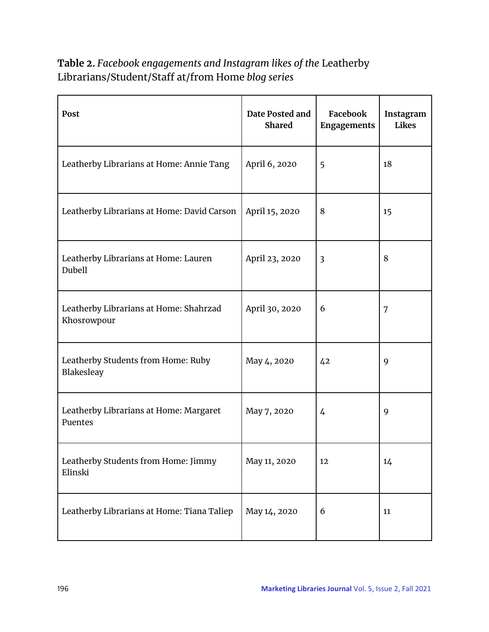**Table 2.** *Facebook engagements and Instagram likes of the* Leatherby Librarians/Student/Staff at/from Home *blog series*

| Post                                                  | Date Posted and<br><b>Shared</b> | Facebook<br>Engagements | Instagram<br><b>Likes</b> |
|-------------------------------------------------------|----------------------------------|-------------------------|---------------------------|
| Leatherby Librarians at Home: Annie Tang              | April 6, 2020                    | 5                       | 18                        |
| Leatherby Librarians at Home: David Carson            | April 15, 2020                   | 8                       | 15                        |
| Leatherby Librarians at Home: Lauren<br>Dubell        | April 23, 2020                   | 3                       | 8                         |
| Leatherby Librarians at Home: Shahrzad<br>Khosrowpour | April 30, 2020                   | 6                       | 7                         |
| Leatherby Students from Home: Ruby<br>Blakesleay      | May 4, 2020                      | 42                      | 9                         |
| Leatherby Librarians at Home: Margaret<br>Puentes     | May 7, 2020                      | 4                       | 9                         |
| Leatherby Students from Home: Jimmy<br>Elinski        | May 11, 2020                     | 12                      | 14                        |
| Leatherby Librarians at Home: Tiana Taliep            | May 14, 2020                     | 6                       | 11                        |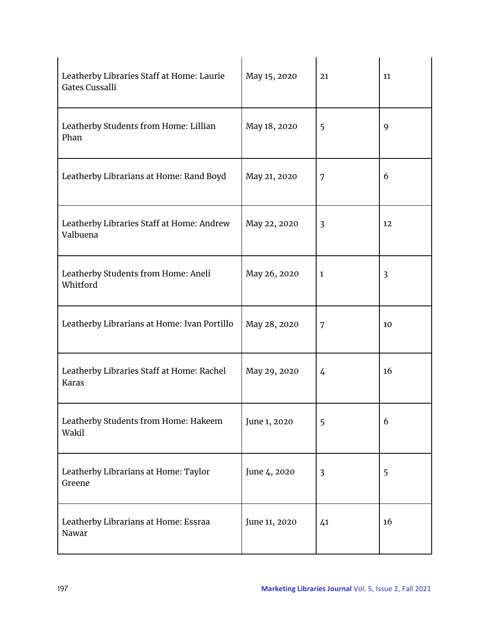| Leatherby Libraries Staff at Home: Laurie<br><b>Gates Cussalli</b> | May 15, 2020  | 21                      | 11             |
|--------------------------------------------------------------------|---------------|-------------------------|----------------|
| Leatherby Students from Home: Lillian<br>Phan                      | May 18, 2020  | 5                       | 9              |
| Leatherby Librarians at Home: Rand Boyd                            | May 21, 2020  | 7                       | 6              |
| Leatherby Libraries Staff at Home: Andrew<br>Valbuena              | May 22, 2020  | $\overline{3}$          | 12             |
| Leatherby Students from Home: Aneli<br>Whitford                    | May 26, 2020  | $\mathbf{1}$            | $\overline{3}$ |
| Leatherby Librarians at Home: Ivan Portillo                        | May 28, 2020  | 7                       | 10             |
| Leatherby Libraries Staff at Home: Rachel<br><b>Karas</b>          | May 29, 2020  | $\overline{4}$          | 16             |
| Leatherby Students from Home: Hakeem<br>Wakil                      | June 1, 2020  | 5                       | 6              |
| Leatherby Librarians at Home: Taylor<br>Greene                     | June 4, 2020  | $\overline{\mathbf{3}}$ | 5              |
| Leatherby Librarians at Home: Essraa<br>Nawar                      | June 11, 2020 | 41                      | 16             |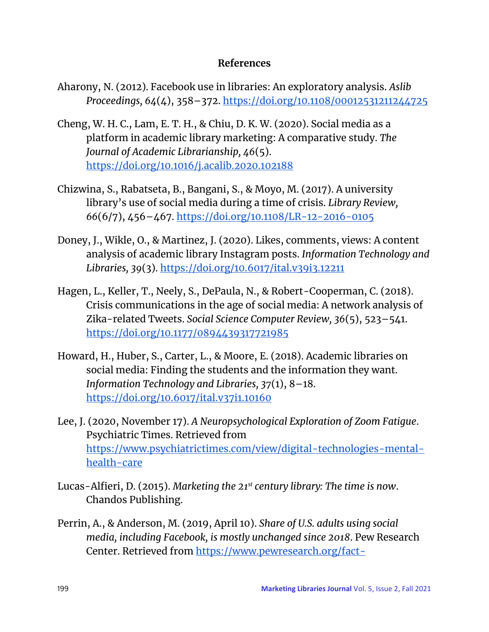#### **References**

- Aharony, N. (2012). Facebook use in libraries: An exploratory analysis. *Aslib Proceedings, 64*(4), 358–372[.](https://doi.org/10.1108/00012531211244725) <https://doi.org/10.1108/00012531211244725>
- Cheng, W. H. C., Lam, E. T. H., & Chiu, D. K. W. (2020). Social media as a platform in academic library marketing: A comparative study. *The Journal of Academic Librarianship, 46*(5)[.](https://doi.org/10.1016/j.acalib.2020.102188) <https://doi.org/10.1016/j.acalib.2020.102188>
- Chizwina, S., Rabatseta, B., Bangani, S., & Moyo, M. (2017). A university library's use of social media during a time of crisis. *Library Review, 66*(6/7), 456–467[.](https://doi.org/10.1108/LR-12-2016-0105) <https://doi.org/10.1108/LR-12-2016-0105>
- Doney, J., Wikle, O., & Martinez, J. (2020). Likes, comments, views: A content analysis of academic library Instagram posts. *Information Technology and Libraries, 39*(3). <https://doi.org/10.6017/ital.v39i3.12211>
- Hagen, L., Keller, T., Neely, S., DePaula, N., & Robert-Cooperman, C. (2018). Crisis communications in the age of social media: A network analysis of Zika-related Tweets. *Social Science Computer Review, 36*(5), 523–541[.](https://doi.org/10.1177/0894439317721985) <https://doi.org/10.1177/0894439317721985>
- Howard, H., Huber, S., Carter, L., & Moore, E. (2018). Academic libraries on social media: Finding the students and the information they want. *Information Technology and Libraries, 37*(1), 8–18[.](https://doi.org/10.6017/ital.v37i1.10160) <https://doi.org/10.6017/ital.v37i1.10160>
- Lee, J. (2020, November 17). *A Neuropsychological Exploration of Zoom Fatigue*. Psychiatric Times. Retrieved fro[m](https://www.psychiatrictimes.com/view/digital-technologies-mental-health-care) [https://www.psychiatrictimes.com/view/digital-technologies-mental](https://www.psychiatrictimes.com/view/digital-technologies-mental-health-care)[health-care](https://www.psychiatrictimes.com/view/digital-technologies-mental-health-care)
- Lucas-Alfieri, D. (2015). *Marketing the 21st century library: The time is now*. Chandos Publishing.
- Perrin, A., & Anderson, M. (2019, April 10). *Share of U.S. adults using social media, including Facebook, is mostly unchanged since 2018*. Pew Research Center. Retrieved fro[m](https://www.pewresearch.org/fact-tank/2019/04/10/share-of-u-s-adults-using-social-media-including-facebook-is-mostly-unchanged-since-2018/) [https://www.pewresearch.org/fact-](https://www.pewresearch.org/fact-tank/2019/04/10/share-of-u-s-adults-using-social-media-including-facebook-is-mostly-unchanged-since-2018/)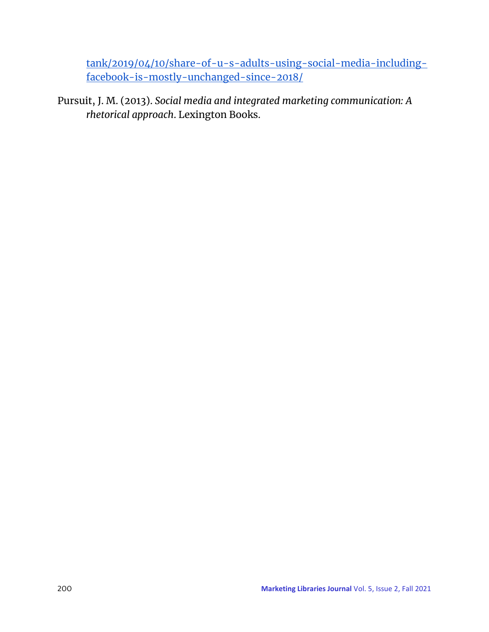[tank/2019/04/10/share-of-u-s-adults-using-social-media-including](https://www.pewresearch.org/fact-tank/2019/04/10/share-of-u-s-adults-using-social-media-including-facebook-is-mostly-unchanged-since-2018/)[facebook-is-mostly-unchanged-since-2018/](https://www.pewresearch.org/fact-tank/2019/04/10/share-of-u-s-adults-using-social-media-including-facebook-is-mostly-unchanged-since-2018/)

Pursuit, J. M. (2013). *Social media and integrated marketing communication: A rhetorical approach*. Lexington Books.